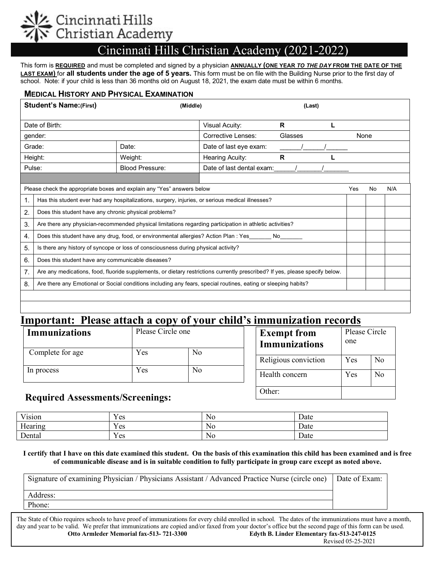# 'incinnati Hills<br>'hristian Academy

## Cincinnati Hills Christian Academy (2021-2022)

 This form is **REQUIRED** and must be completed and signed by a physician **ANNUALLY (ONE YEAR** *TO THE DAY* **FROM THE DATE OF THE LAST EXAM)** for **all students under the age of 5 years.** This form must be on file with the Building Nurse prior to the first day of school. Note: if your child is less than 36 months old on August 18, 2021, the exam date must be within 6 months.

#### **MEDICAL HISTORY AND PHYSICAL EXAMINATION**

|                                                                        | <b>Student's Name: (First)</b>                                                                                               | (Middle)              |                           | (Last) |  |      |     |     |
|------------------------------------------------------------------------|------------------------------------------------------------------------------------------------------------------------------|-----------------------|---------------------------|--------|--|------|-----|-----|
| Date of Birth:                                                         |                                                                                                                              | <b>Visual Acuity:</b> | R.                        |        |  |      |     |     |
| gender:                                                                |                                                                                                                              | Corrective Lenses:    | Glasses                   |        |  | None |     |     |
| Grade:<br>Date:                                                        |                                                                                                                              |                       | Date of last eye exam:    |        |  |      |     |     |
| Height:                                                                |                                                                                                                              | Weight:               | Hearing Acuity:           | R      |  |      |     |     |
| <b>Blood Pressure:</b><br>Pulse:                                       |                                                                                                                              |                       | Date of last dental exam: |        |  |      |     |     |
|                                                                        |                                                                                                                              |                       |                           |        |  |      |     |     |
| Please check the appropriate boxes and explain any "Yes" answers below |                                                                                                                              |                       |                           |        |  | Yes  | No. | N/A |
| 1.                                                                     | Has this student ever had any hospitalizations, surgery, injuries, or serious medical illnesses?                             |                       |                           |        |  |      |     |     |
| 2.                                                                     | Does this student have any chronic physical problems?                                                                        |                       |                           |        |  |      |     |     |
| 3.                                                                     | Are there any physician-recommended physical limitations regarding participation in athletic activities?                     |                       |                           |        |  |      |     |     |
| 4.                                                                     | Does this student have any drug, food, or environmental allergies? Action Plan : Yes<br>No                                   |                       |                           |        |  |      |     |     |
| 5.                                                                     | Is there any history of syncope or loss of consciousness during physical activity?                                           |                       |                           |        |  |      |     |     |
| 6.                                                                     | Does this student have any communicable diseases?                                                                            |                       |                           |        |  |      |     |     |
| 7 <sub>1</sub>                                                         | Are any medications, food, fluoride supplements, or dietary restrictions currently prescribed? If yes, please specify below. |                       |                           |        |  |      |     |     |
| 8.                                                                     | Are there any Emotional or Social conditions including any fears, special routines, eating or sleeping habits?               |                       |                           |        |  |      |     |     |
|                                                                        |                                                                                                                              |                       |                           |        |  |      |     |     |
|                                                                        |                                                                                                                              |                       |                           |        |  |      |     |     |

## **Important: Please attach a copy of your child's immunization records**

| <b>Immunizations</b> | Please Circle one<br>No<br>Yes |    | <b>Exempt from</b><br><b>Immunizations</b> | Please Circle<br>one  |    |
|----------------------|--------------------------------|----|--------------------------------------------|-----------------------|----|
| Complete for age     |                                |    | Religious conviction                       | N <sub>o</sub><br>Yes |    |
| In process           | Yes                            | No | Health concern                             | Yes                   | No |

#### **Required Assessments/Screenings:**

| Vision  | <b>TT</b><br>Y es   | No | Date |
|---------|---------------------|----|------|
| Hearing | v r<br>Y es         | No | Date |
| Dental  | v r<br>$v_{\rm es}$ | No | Date |

**I certify that I have on this date examined this student. On the basis of this examination this child has been examined and is free of communicable disease and is in suitable condition to fully participate in group care except as noted above.**

Other:

| Signature of examining Physician / Physicians Assistant / Advanced Practice Nurse (circle one) | Date of Exam: |
|------------------------------------------------------------------------------------------------|---------------|
| Address:                                                                                       |               |
| Phone:                                                                                         |               |
|                                                                                                |               |

The State of Ohio requires schools to have proof of immunizations for every child enrolled in school. The dates of the immunizations must have a month, day and year to be valid. We prefer that immunizations are copied and/or faxed from your doctor's office but the second page of this form can be used.<br>Otto Armleder Memorial fax-513-721-3300 Edyth B. Linder Elementary fax-**Edyth B. Linder Elementary fax-513-247-0125**